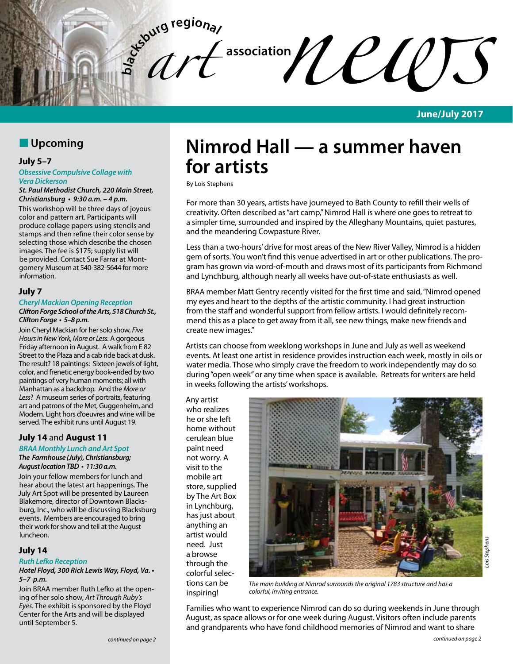$\ell$ *c***d***f* 

 $\int_a^b dT$ 

**June/July 2017**

# **N** Upcoming

# **July 5–7**

#### *Obsessive Compulsive Collage with Vera Dickerson*

*St. Paul Methodist Church, 220 Main Street,*  **Christiansburg • 9:30 a.m. – 4 p.m.**

This workshop will be three days of joyous color and pattern art. Participants will produce collage papers using stencils and stamps and then refine their color sense by selecting those which describe the chosen images. The fee is \$175; supply list will be provided. Contact Sue Farrar at Montgomery Museum at 540-382-5644 for more information. 

# **July 7**

#### *Cheryl Mackian Opening Reception Clifton Forge School of the Arts, 518 Church St.,*  **Clifton Forge • 5–8 p.m.**

Join Cheryl Mackian for her solo show, *Five Hours in New York, More or Less.* A gorgeous Friday afternoon in August. A walk from E 82 Street to the Plaza and a cab ride back at dusk. The result? 18 paintings: Sixteen jewels of light, color, and frenetic energy book-ended by two paintings of very human moments; all with Manhattan as a backdrop. And the *More or Less*? A museum series of portraits, featuring art and patrons of the Met, Guggenheim, and Modern. Light hors d'oeuvres and wine will be served. The exhibit runs until August 19.

# **July 14** and **August 11**

# *BRAA Monthly Lunch and Art Spot*

*The Farmhouse (July), Christiansburg;* **August location TBD • 11:30 a.m.**

Join your fellow members for lunch and hear about the latest art happenings. The July Art Spot will be presented by Laureen Blakemore, director of Downtown Blacksburg, Inc., who will be discussing Blacksburg events. Members are encouraged to bring their work for show and tell at the August luncheon.

# **July 14**

*Ruth Lefko Reception*

#### **Hotel Floyd, 300 Rick Lewis Way, Floyd, Va. • 5–7 p.m.**

Join BRAA member Ruth Lefko at the opening of her solo show, *Art Through Ruby's Eyes*. The exhibit is sponsored by the Floyd Center for the Arts and will be displayed until September 5.

# **Nimrod Hall — a summer haven for artists**

By Lois Stephens

For more than 30 years, artists have journeyed to Bath County to refill their wells of creativity. Often described as "art camp," Nimrod Hall is where one goes to retreat to a simpler time, surrounded and inspired by the Alleghany Mountains, quiet pastures, and the meandering Cowpasture River.

Less than a two-hours' drive for most areas of the New River Valley, Nimrod is a hidden gem of sorts. You won't find this venue advertised in art or other publications. The program has grown via word-of-mouth and draws most of its participants from Richmond and Lynchburg, although nearly all weeks have out-of-state enthusiasts as well.

BRAA member Matt Gentry recently visited for the first time and said, "Nimrod opened my eyes and heart to the depths of the artistic community. I had great instruction from the staff and wonderful support from fellow artists. I would definitely recommend this as a place to get away from it all, see new things, make new friends and create new images."

Artists can choose from weeklong workshops in June and July as well as weekend events. At least one artist in residence provides instruction each week, mostly in oils or water media. Those who simply crave the freedom to work independently may do so during "open week" or any time when space is available. Retreats for writers are held in weeks following the artists' workshops.

Any artist who realizes he or she left home without cerulean blue paint need not worry. A visit to the mobile art store, supplied by The Art Box in Lynchburg, has just about anything an artist would need. Just a browse through the colorful selections can be inspiring!



*The main building at Nimrod surrounds the original 1783 structure and has a colorful, inviting entrance.*

Families who want to experience Nimrod can do so during weekends in June through August, as space allows or for one week during August. Visitors often include parents and grandparents who have fond childhood memories of Nimrod and want to share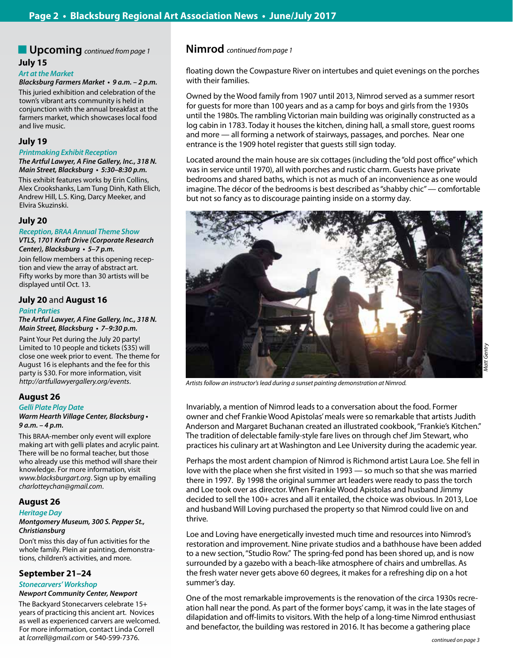# **July 15** n **Upcoming** *continued from page 1* **Nimrod** *continued from page 1*

#### *Art at the Market*

**Blacksburg Farmers Market • 9 a.m. – 2 p.m.** This juried exhibition and celebration of the town's vibrant arts community is held in conjunction with the annual breakfast at the farmers market, which showcases local food and live music.

#### **July 19**

# *Printmaking Exhibit Reception*

**The Artful Lawyer, A Fine Gallery, Inc., 318 N. Main Street, Blacksburg • 5:30–8:30 p.m.** This exhibit features works by Erin Collins, Alex Crookshanks, Lam Tung Dinh, Kath Elich, Andrew Hill, L.S. King, Darcy Meeker, and Elvira Skuzinski.

# **July 20**

# *Reception, BRAA Annual Theme Show*

**VTLS, 1701 Kraft Drive (Corporate Research Center), Blacksburg • 5–7 p.m.**

Join fellow members at this opening reception and view the array of abstract art. Fifty works by more than 30 artists will be displayed until Oct. 13.

# **July 20** and **August 16**

#### *Paint Parties*

**The Artful Lawyer, A Fine Gallery, Inc., 318 N. Main Street, Blacksburg • 7–9:30 p.m.**

Paint Your Pet during the July 20 party! Limited to 10 people and tickets (\$35) will close one week prior to event. The theme for August 16 is elephants and the fee for this party is \$30. For more information, visit *http://artfullawyergallery.org/events*.

# **August 26**

#### *Gelli Plate Play Date*

#### **Warm Hearth Village Center, Blacksburg • 9 a.m. – 4 p.m.**

This BRAA-member only event will explore making art with gelli plates and acrylic paint. There will be no formal teacher, but those who already use this method will share their knowledge. For more information, visit *www.blacksburgart.org*. Sign up by emailing *charlotteychan@gmail.com*.

# **August 26**

# *Heritage Day*

#### **Montgomery Museum, 300 S. Pepper St.,**  *Christiansburg*

Don't miss this day of fun activities for the whole family. Plein air painting, demonstrations, children's activities, and more.

# **September 21–24**

#### **Stonecarvers' Workshop**

#### **Newport Community Center, Newport**

The Backyard Stonecarvers celebrate 15+ years of practicing this ancient art. Novices as well as experienced carvers are welcomed. For more information, contact Linda Correll at *lcorrell@gmail.com* or 540-599-7376.

floating down the Cowpasture River on intertubes and quiet evenings on the porches with their families.

Owned by the Wood family from 1907 until 2013, Nimrod served as a summer resort for guests for more than 100 years and as a camp for boys and girls from the 1930s until the 1980s. The rambling Victorian main building was originally constructed as a log cabin in 1783. Today it houses the kitchen, dining hall, a small store, guest rooms and more — all forming a network of stairways, passages, and porches. Near one entrance is the 1909 hotel register that guests still sign today.

Located around the main house are six cottages (including the "old post office" which was in service until 1970), all with porches and rustic charm. Guests have private bedrooms and shared baths, which is not as much of an inconvenience as one would imagine. The décor of the bedrooms is best described as "shabby chic" — comfortable but not so fancy as to discourage painting inside on a stormy day.



*Artists follow an instructor's lead during a sunset painting demonstration at Nimrod.*

Invariably, a mention of Nimrod leads to a conversation about the food. Former owner and chef Frankie Wood Apistolas' meals were so remarkable that artists Judith Anderson and Margaret Buchanan created an illustrated cookbook, "Frankie's Kitchen." The tradition of delectable family-style fare lives on through chef Jim Stewart, who practices his culinary art at Washington and Lee University during the academic year.

Perhaps the most ardent champion of Nimrod is Richmond artist Laura Loe. She fell in love with the place when she first visited in 1993 — so much so that she was married there in 1997. By 1998 the original summer art leaders were ready to pass the torch and Loe took over as director. When Frankie Wood Apistolas and husband Jimmy decided to sell the 100+ acres and all it entailed, the choice was obvious. In 2013, Loe and husband Will Loving purchased the property so that Nimrod could live on and thrive.

Loe and Loving have energetically invested much time and resources into Nimrod's restoration and improvement. Nine private studios and a bathhouse have been added to a new section, "Studio Row." The spring-fed pond has been shored up, and is now surrounded by a gazebo with a beach-like atmosphere of chairs and umbrellas. As the fresh water never gets above 60 degrees, it makes for a refreshing dip on a hot summer's day.

One of the most remarkable improvements is the renovation of the circa 1930s recreation hall near the pond. As part of the former boys' camp, it was in the late stages of dilapidation and off-limits to visitors. With the help of a long-time Nimrod enthusiast and benefactor, the building was restored in 2016. It has become a gathering place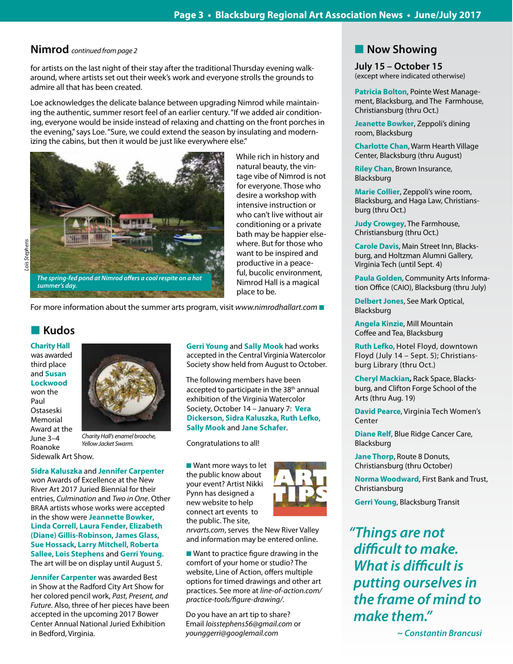# **Nimrod** *continued from page 2*

for artists on the last night of their stay after the traditional Thursday evening walkaround, where artists set out their week's work and everyone strolls the grounds to admire all that has been created.

Loe acknowledges the delicate balance between upgrading Nimrod while maintaining the authentic, summer resort feel of an earlier century. "If we added air conditioning, everyone would be inside instead of relaxing and chatting on the front porches in the evening," says Loe. "Sure, we could extend the season by insulating and modernizing the cabins, but then it would be just like everywhere else."



Lois Stephens *Lois Stephens*

For more information about the summer arts program, visit *www.nimrodhallart.com* 

# **n** Kudos

**Charity Hall**  was awarded third place and **Susan Lockwood**  won the Paul Ostaseski Memorial Award at the June 3–4 Roanoke Sidewalk Art Show.



*Charity Hall's enamel brooche, Yellow Jacket Swarm.*

**Sidra Kaluszka** and **Jennifer Carpenter** 

won Awards of Excellence at the New River Art 2017 Juried Biennial for their entries, *Culmination* and *Two in One*. Other BRAA artists whose works were accepted in the show were **Jeannette Bowker**, **Linda Correll**, **Laura Fender**, **Elizabeth (Diane) Gillis-Robinson**, **James Glass**, **Sue Hossack**, **Larry Mitchell**, **Roberta Sallee**, **Lois Stephens** and **Gerri Young**. The art will be on display until August 5.

**Jennifer Carpenter** was awarded Best in Show at the Radford City Art Show for her colored pencil work, *Past, Present, and Future*. Also, three of her pieces have been accepted in the upcoming 2017 Bower Center Annual National Juried Exhibition in Bedford, Virginia.

**Gerri Young** and **Sally Mook** had works accepted in the Central Virginia Watercolor Society show held from August to October.

place to be.

While rich in history and natural beauty, the vintage vibe of Nimrod is not for everyone. Those who desire a workshop with intensive instruction or who can't live without air conditioning or a private bath may be happier elsewhere. But for those who want to be inspired and productive in a peaceful, bucolic environment, Nimrod Hall is a magical

The following members have been accepted to participate in the 38<sup>th</sup> annual exhibition of the Virginia Watercolor Society, October 14 – January 7: **Vera Dickerson**, **Sidra Kaluszka**, **Ruth Lefko**, **Sally Mook** and **Jane Schafer**.

Congratulations to all!

■ Want more ways to let the public know about your event? Artist Nikki Pynn has designed a new website to help connect art events to the public. The site,



*nrvarts.com*, serves the New River Valley and information may be entered online.

 $\blacksquare$  Want to practice figure drawing in the comfort of your home or studio? The website, Line of Action, offers multiple options for timed drawings and other art practices. See more at *line-of-action.com/ practice-tools/figure-drawing/*.

Do you have an art tip to share? Email *loisstephens56@gmail.com* or *younggerri@googlemail.com*

# **Now Showing**

**July 15 – October 15** (except where indicated otherwise)

**Patricia Bolton**, Pointe West Management, Blacksburg, and The Farmhouse, Christiansburg (thru Oct.)

**Jeanette Bowker**, Zeppoli's dining room, Blacksburg

**Charlotte Chan**, Warm Hearth Village Center, Blacksburg (thru August)

**Riley Chan**, Brown Insurance, Blacksburg

**Marie Collier**, Zeppoli's wine room, Blacksburg, and Haga Law, Christiansburg (thru Oct.)

**Judy Crowgey**, The Farmhouse, Christiansburg (thru Oct.)

**Carole Davis**, Main Street Inn, Blacksburg, and Holtzman Alumni Gallery, Virginia Tech (until Sept. 4)

**Paula Golden**, Community Arts Information Office (CAIO), Blacksburg (thru July)

**Delbert Jones**, See Mark Optical, Blacksburg

**Angela Kinzie**, Mill Mountain Coffee and Tea, Blacksburg

**Ruth Lefko**, Hotel Floyd, downtown Floyd (July 14 – Sept. 5); Christiansburg Library (thru Oct.)

**Cheryl Mackian,** Rack Space, Blacksburg, and Clifton Forge School of the Arts (thru Aug. 19)

**David Pearce**, Virginia Tech Women's Center

**Diane Relf**, Blue Ridge Cancer Care, Blacksburg

**Jane Thorp**, Route 8 Donuts, Christiansburg (thru October)

**Norma Woodward**, First Bank and Trust, Christiansburg

**Gerri Young**, Blacksburg Transit

*"Things are not difficult to make.*  **What is difficult is**  *putting ourselves in the frame of mind to make them."*

 *~ Constantin Brancusi*